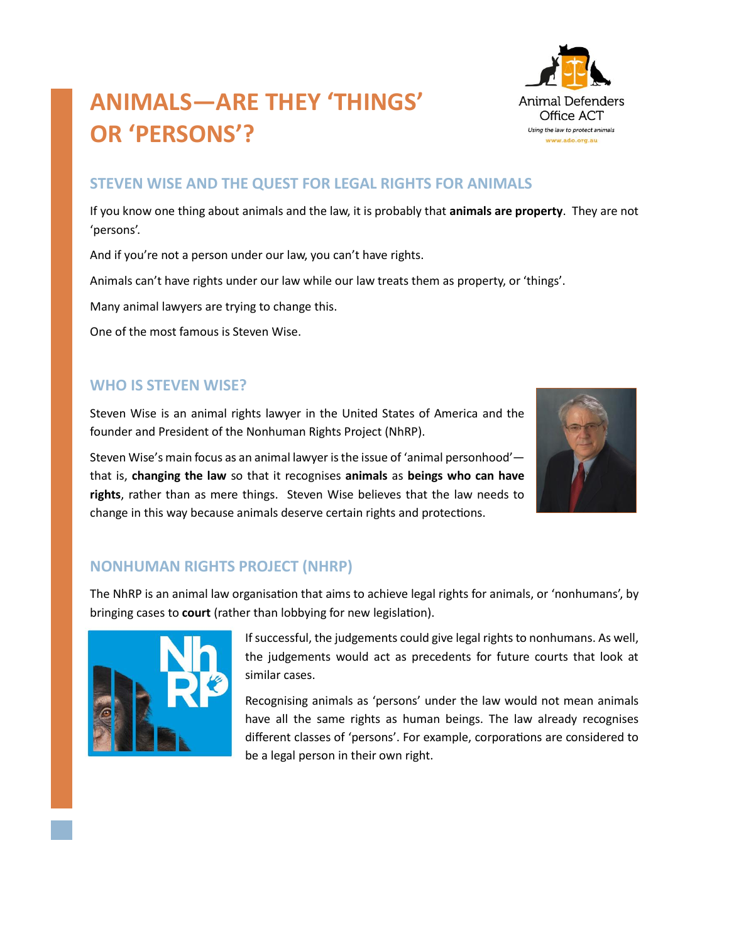# **ANIMALS—ARE THEY 'THINGS' OR 'PERSONS'?**

### **STEVEN WISE AND THE QUEST FOR LEGAL RIGHTS FOR ANIMALS**

If you know one thing about animals and the law, it is probably that **animals are property**. They are not 'persons'.

And if you're not a person under our law, you can't have rights.

Animals can't have rights under our law while our law treats them as property, or 'things'.

Many animal lawyers are trying to change this.

One of the most famous is Steven Wise.

#### **WHO IS STEVEN WISE?**

Steven Wise is an animal rights lawyer in the United States of America and the founder and President of the Nonhuman Rights Project (NhRP).

Steven Wise's main focus as an animal lawyer is the issue of 'animal personhood' that is, **changing the law** so that it recognises **animals** as **beings who can have rights**, rather than as mere things. Steven Wise believes that the law needs to change in this way because animals deserve certain rights and protections.

# **NONHUMAN RIGHTS PROJECT (NHRP)**

The NhRP is an animal law organisation that aims to achieve legal rights for animals, or 'nonhumans', by bringing cases to **court** (rather than lobbying for new legislation).



Recognising animals as 'persons' under the law would not mean animals have all the same rights as human beings. The law already recognises different classes of 'persons'. For example, corporations are considered to be a legal person in their own right.





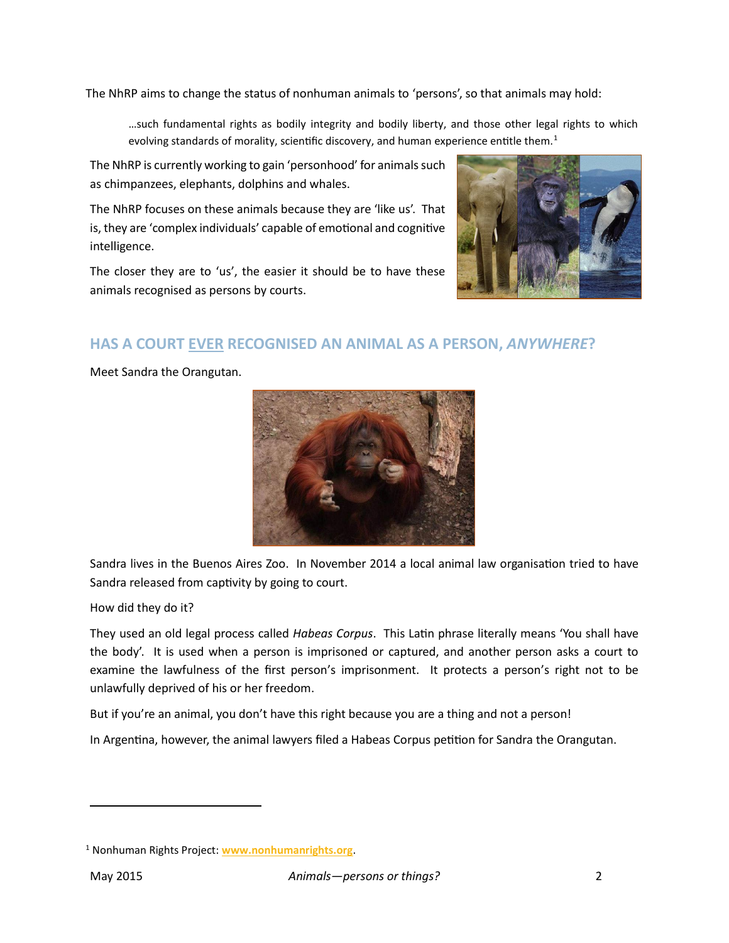The NhRP aims to change the status of nonhuman animals to 'persons', so that animals may hold:

…such fundamental rights as bodily integrity and bodily liberty, and those other legal rights to which evolving standards of morality, scientific discovery, and human experience entitle them.<sup>1</sup>

The NhRP is currently working to gain 'personhood' for animals such as chimpanzees, elephants, dolphins and whales.

The NhRP focuses on these animals because they are 'like us'. That is, they are 'complex individuals' capable of emotional and cognitive intelligence.

The closer they are to 'us', the easier it should be to have these animals recognised as persons by courts.



# **HAS A COURT EVER RECOGNISED AN ANIMAL AS A PERSON,** *ANYWHERE***?**

Meet Sandra the Orangutan.



Sandra lives in the Buenos Aires Zoo. In November 2014 a local animal law organisation tried to have Sandra released from captivity by going to court.

How did they do it?

They used an old legal process called *Habeas Corpus*. This Latin phrase literally means 'You shall have the body'. It is used when a person is imprisoned or captured, and another person asks a court to examine the lawfulness of the first person's imprisonment. It protects a person's right not to be unlawfully deprived of his or her freedom.

But if you're an animal, you don't have this right because you are a thing and not a person!

In Argentina, however, the animal lawyers filed a Habeas Corpus petition for Sandra the Orangutan.

 $\overline{a}$ 

<sup>1</sup> Nonhuman Rights Project: **[www.nonhumanrights.org](http://www.nonhumanrights.org/)**.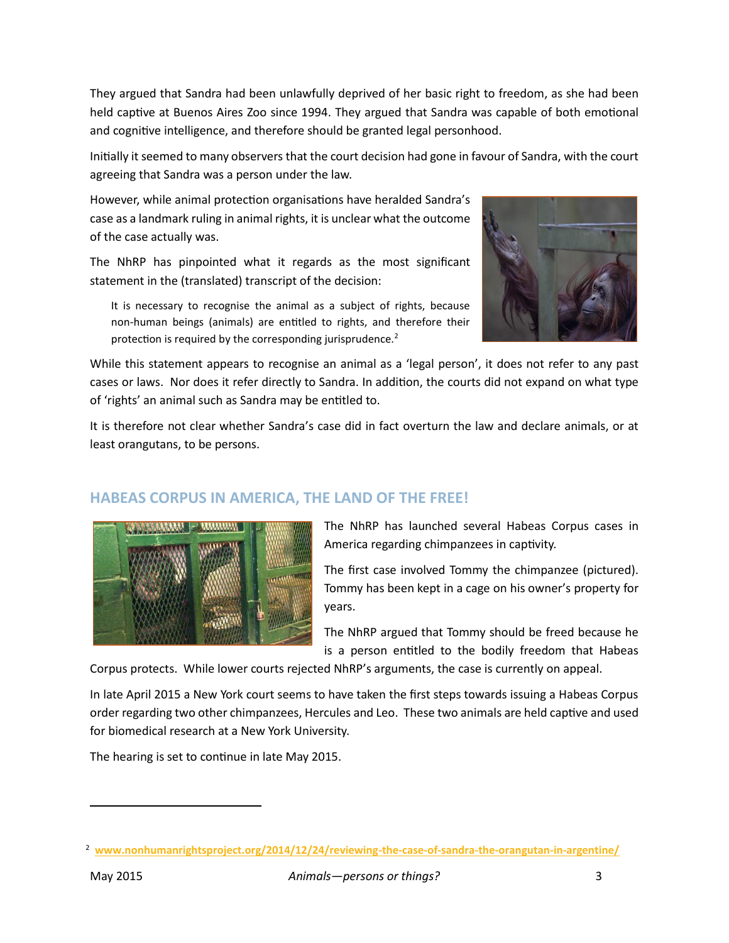They argued that Sandra had been unlawfully deprived of her basic right to freedom, as she had been held captive at Buenos Aires Zoo since 1994. They argued that Sandra was capable of both emotional and cognitive intelligence, and therefore should be granted legal personhood.

Initially it seemed to many observers that the court decision had gone in favour of Sandra, with the court agreeing that Sandra was a person under the law.

However, while animal protection organisations have heralded Sandra's case as a landmark ruling in animal rights, it is unclear what the outcome of the case actually was.

The NhRP has pinpointed what it regards as the most significant statement in the (translated) transcript of the decision:



It is necessary to recognise the animal as a subject of rights, because non-human beings (animals) are entitled to rights, and therefore their protection is required by the corresponding jurisprudence.<sup>2</sup>

While this statement appears to recognise an animal as a 'legal person', it does not refer to any past cases or laws. Nor does it refer directly to Sandra. In addition, the courts did not expand on what type of 'rights' an animal such as Sandra may be entitled to.

It is therefore not clear whether Sandra's case did in fact overturn the law and declare animals, or at least orangutans, to be persons.

# **HABEAS CORPUS IN AMERICA, THE LAND OF THE FREE!**



The NhRP has launched several Habeas Corpus cases in America regarding chimpanzees in captivity.

The first case involved Tommy the chimpanzee (pictured). Tommy has been kept in a cage on his owner's property for years.

The NhRP argued that Tommy should be freed because he is a person entitled to the bodily freedom that Habeas

Corpus protects. While lower courts rejected NhRP's arguments, the case is currently on appeal.

In late April 2015 a New York court seems to have taken the first steps towards issuing a Habeas Corpus order regarding two other chimpanzees, Hercules and Leo. These two animals are held captive and used for biomedical research at a New York University.

The hearing is set to continue in late May 2015.

 $\overline{a}$ 

<sup>2</sup> **[www.nonhumanrightsproject.org/2014/12/24/reviewing-the-case-of-sandra-the-orangutan-in-argentine/](http://www.nonhumanrightsproject.org/2014/12/24/reviewing-the-case-of-sandra-the-orangutan-in-argentine/)**